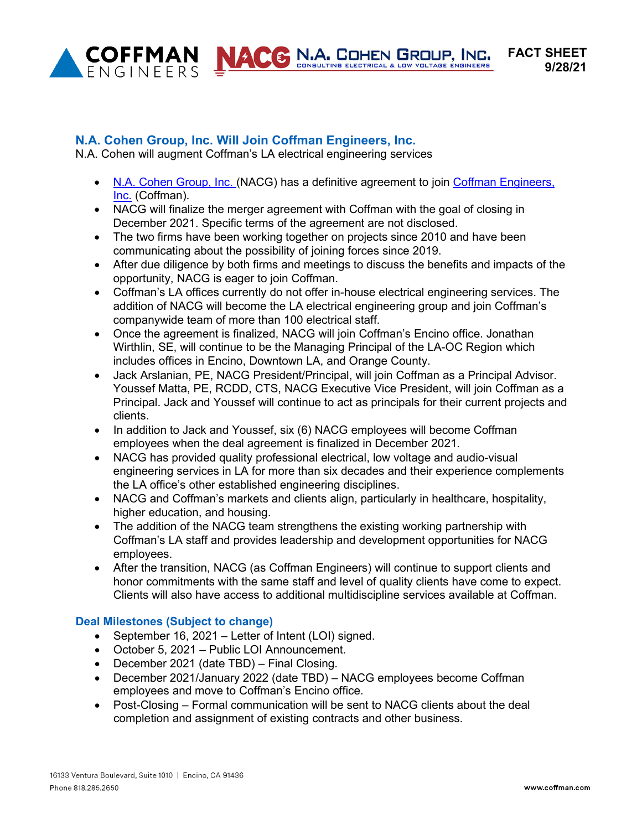

**ACC N.A. COHEN GROUP, INC.** 

## **N.A. Cohen Group, Inc. Will Join Coffman Engineers, Inc.**

N.A. Cohen will augment Coffman's LA electrical engineering services

- N.A. [Cohen Group, Inc. \(](https://www.nacohengroup.com/)NACG) has a definitive agreement to join [Coffman Engineers,](http://www.coffman.com/) Inc. (Coffman).
- NACG will finalize the merger agreement with Coffman with the goal of closing in December 2021. Specific terms of the agreement are not disclosed.
- The two firms have been working together on projects since 2010 and have been communicating about the possibility of joining forces since 2019.
- After due diligence by both firms and meetings to discuss the benefits and impacts of the opportunity, NACG is eager to join Coffman.
- Coffman's LA offices currently do not offer in-house electrical engineering services. The addition of NACG will become the LA electrical engineering group and join Coffman's companywide team of more than 100 electrical staff.
- Once the agreement is finalized, NACG will join Coffman's Encino office. Jonathan Wirthlin, SE, will continue to be the Managing Principal of the LA-OC Region which includes offices in Encino, Downtown LA, and Orange County.
- Jack Arslanian, PE, NACG President/Principal, will join Coffman as a Principal Advisor. Youssef Matta, PE, RCDD, CTS, NACG Executive Vice President, will join Coffman as a Principal. Jack and Youssef will continue to act as principals for their current projects and clients.
- In addition to Jack and Youssef, six (6) NACG employees will become Coffman employees when the deal agreement is finalized in December 2021.
- NACG has provided quality professional electrical, low voltage and audio-visual engineering services in LA for more than six decades and their experience complements the LA office's other established engineering disciplines.
- NACG and Coffman's markets and clients align, particularly in healthcare, hospitality, higher education, and housing.
- The addition of the NACG team strengthens the existing working partnership with Coffman's LA staff and provides leadership and development opportunities for NACG employees.
- After the transition, NACG (as Coffman Engineers) will continue to support clients and honor commitments with the same staff and level of quality clients have come to expect. Clients will also have access to additional multidiscipline services available at Coffman.

## **Deal Milestones (Subject to change)**

- September 16, 2021 Letter of Intent (LOI) signed.
- October 5, 2021 Public LOI Announcement.
- December 2021 (date TBD) Final Closing.
- December 2021/January 2022 (date TBD) NACG employees become Coffman employees and move to Coffman's Encino office.
- Post-Closing Formal communication will be sent to NACG clients about the deal completion and assignment of existing contracts and other business.